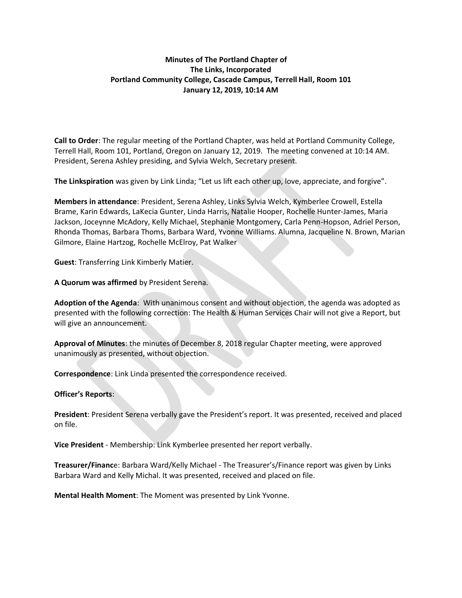# **Minutes of The Portland Chapter of The Links, Incorporated Portland Community College, Cascade Campus, Terrell Hall, Room 101 January 12, 2019, 10:14 AM**

**Call to Order**: The regular meeting of the Portland Chapter, was held at Portland Community College, Terrell Hall, Room 101, Portland, Oregon on January 12, 2019. The meeting convened at 10:14 AM. President, Serena Ashley presiding, and Sylvia Welch, Secretary present.

**The Linkspiration** was given by Link Linda; "Let us lift each other up, love, appreciate, and forgive".

**Members in attendance**: President, Serena Ashley, Links Sylvia Welch, Kymberlee Crowell, Estella Brame, Karin Edwards, LaKecia Gunter, Linda Harris, Natalie Hooper, Rochelle Hunter-James, Maria Jackson, Joceynne McAdory, Kelly Michael, Stephanie Montgomery, Carla Penn-Hopson, Adriel Person, Rhonda Thomas, Barbara Thoms, Barbara Ward, Yvonne Williams. Alumna, Jacqueline N. Brown, Marian Gilmore, Elaine Hartzog, Rochelle McElroy, Pat Walker

**Guest**: Transferring Link Kimberly Matier.

**A Quorum was affirmed** by President Serena.

**Adoption of the Agenda**: With unanimous consent and without objection, the agenda was adopted as presented with the following correction: The Health & Human Services Chair will not give a Report, but will give an announcement.

**Approval of Minutes**: the minutes of December 8, 2018 regular Chapter meeting, were approved unanimously as presented, without objection.

**Correspondence**: Link Linda presented the correspondence received.

#### **Officer's Reports**:

**President**: President Serena verbally gave the President's report. It was presented, received and placed on file.

**Vice President** - Membership: Link Kymberlee presented her report verbally.

**Treasurer/Financ**e: Barbara Ward/Kelly Michael - The Treasurer's/Finance report was given by Links Barbara Ward and Kelly Michal. It was presented, received and placed on file.

**Mental Health Moment**: The Moment was presented by Link Yvonne.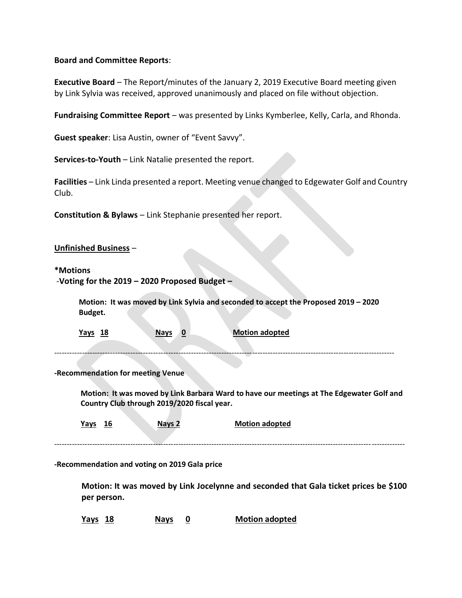## **Board and Committee Reports**:

**Executive Board** – The Report/minutes of the January 2, 2019 Executive Board meeting given by Link Sylvia was received, approved unanimously and placed on file without objection.

**Fundraising Committee Report** – was presented by Links Kymberlee, Kelly, Carla, and Rhonda.

**Guest speaker**: Lisa Austin, owner of "Event Savvy".

**Services-to-Youth** – Link Natalie presented the report.

**Facilities** – Link Linda presented a report. Meeting venue changed to Edgewater Golf and Country Club.

**Constitution & Bylaws** – Link Stephanie presented her report.

### **Unfinished Business** –

### **\*Motions**

| -Voting for the 2019 - 2020 Proposed Budget - |  |  |  |
|-----------------------------------------------|--|--|--|
|                                               |  |  |  |

 **Motion: It was moved by Link Sylvia and seconded to accept the Proposed 2019 – 2020 Budget.**

 **Yays 18 Nays 0 Motion adopted**

--------------------------------------------------------------------------------------------------------------------------------------

**-Recommendation for meeting Venue**

 **Motion: It was moved by Link Barbara Ward to have our meetings at The Edgewater Golf and Country Club through 2019/2020 fiscal year.**

 **Yays 16 Nays 2 Motion adopted** ------------------------------------------------------------------------------------------------------------------------------------------

**-Recommendation and voting on 2019 Gala price** 

**Motion: It was moved by Link Jocelynne and seconded that Gala ticket prices be \$100 per person.**

**Yays 18 Nays 0 Motion adopted**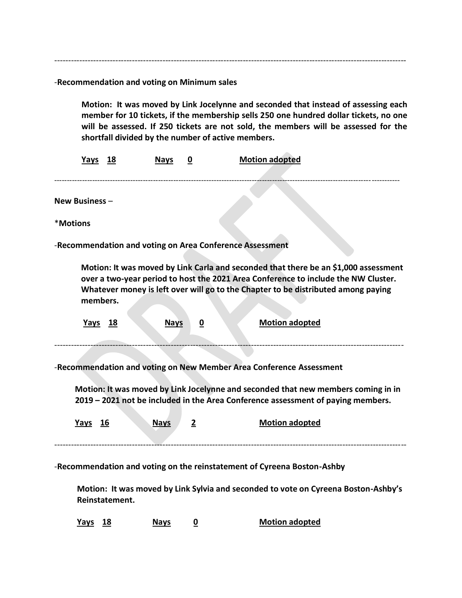-------------------------------------------------------------------------------------------------------------------------------

-**Recommendation and voting on Minimum sales**

**Motion: It was moved by Link Jocelynne and seconded that instead of assessing each member for 10 tickets, if the membership sells 250 one hundred dollar tickets, no one will be assessed. If 250 tickets are not sold, the members will be assessed for the shortfall divided by the number of active members.** 

|                                                                                                                                                                                                                                                                                                                            | Yays 18        |  | <b>Nays</b> | 0 | <b>Motion adopted</b> |  |  |  |
|----------------------------------------------------------------------------------------------------------------------------------------------------------------------------------------------------------------------------------------------------------------------------------------------------------------------------|----------------|--|-------------|---|-----------------------|--|--|--|
|                                                                                                                                                                                                                                                                                                                            | New Business - |  |             |   |                       |  |  |  |
| *Motions                                                                                                                                                                                                                                                                                                                   |                |  |             |   |                       |  |  |  |
| -Recommendation and voting on Area Conference Assessment                                                                                                                                                                                                                                                                   |                |  |             |   |                       |  |  |  |
| Motion: It was moved by Link Carla and seconded that there be an \$1,000 assessment<br>over a two-year period to host the 2021 Area Conference to include the NW Cluster.<br>Whatever money is left over will go to the Chapter to be distributed among paying<br>members.                                                 |                |  |             |   |                       |  |  |  |
|                                                                                                                                                                                                                                                                                                                            | <u>Yays 18</u> |  | <b>Nays</b> | 0 | Motion adopted        |  |  |  |
| -Recommendation and voting on New Member Area Conference Assessment<br>Motion: It was moved by Link Jocelynne and seconded that new members coming in in<br>2019 - 2021 not be included in the Area Conference assessment of paying members.<br><b>Motion adopted</b><br>Yays 16<br><b>Nays</b><br>$\overline{\mathbf{c}}$ |                |  |             |   |                       |  |  |  |
| -Recommendation and voting on the reinstatement of Cyreena Boston-Ashby                                                                                                                                                                                                                                                    |                |  |             |   |                       |  |  |  |
| Motion: It was moved by Link Sylvia and seconded to vote on Cyreena Boston-Ashby's<br>Reinstatement.                                                                                                                                                                                                                       |                |  |             |   |                       |  |  |  |

 **Yays 18 Nays 0 Motion adopted**